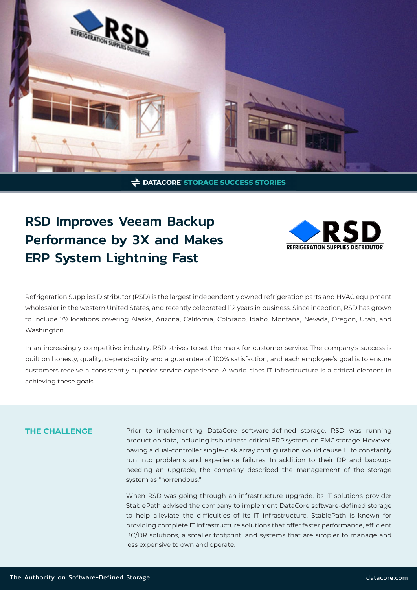

**DATACORE STORAGE SUCCESS STORIES** 

# RSD Improves Veeam Backup Performance by 3X and Makes ERP System Lightning Fast



Refrigeration Supplies Distributor (RSD) is the largest independently owned refrigeration parts and HVAC equipment wholesaler in the western United States, and recently celebrated 112 years in business. Since inception, RSD has grown to include 79 locations covering Alaska, Arizona, California, Colorado, Idaho, Montana, Nevada, Oregon, Utah, and Washington.

In an increasingly competitive industry, RSD strives to set the mark for customer service. The company's success is built on honesty, quality, dependability and a guarantee of 100% satisfaction, and each employee's goal is to ensure customers receive a consistently superior service experience. A world-class IT infrastructure is a critical element in achieving these goals.

# **THE CHALLENGE**

Prior to implementing DataCore software-defined storage, RSD was running production data, including its business-critical ERP system, on EMC storage. However, having a dual-controller single-disk array configuration would cause IT to constantly run into problems and experience failures. In addition to their DR and backups needing an upgrade, the company described the management of the storage system as "horrendous."

When RSD was going through an infrastructure upgrade, its IT solutions provider StablePath advised the company to implement DataCore software-defined storage to help alleviate the difficulties of its IT infrastructure. StablePath is known for providing complete IT infrastructure solutions that offer faster performance, efficient BC/DR solutions, a smaller footprint, and systems that are simpler to manage and less expensive to own and operate.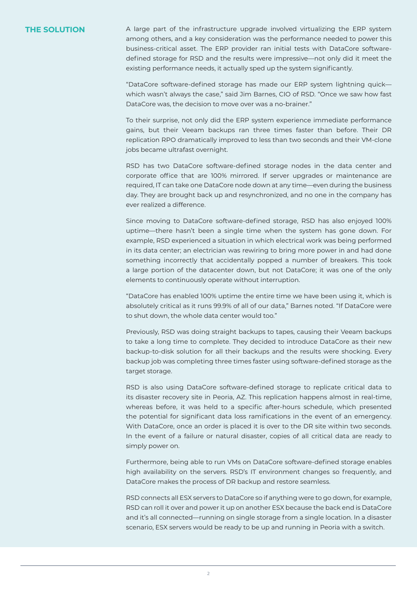**THE SOLUTION** A large part of the infrastructure upgrade involved virtualizing the ERP system among others, and a key consideration was the performance needed to power this business-critical asset. The ERP provider ran initial tests with DataCore softwaredefined storage for RSD and the results were impressive—not only did it meet the existing performance needs, it actually sped up the system significantly.

> "DataCore software-defined storage has made our ERP system lightning quick which wasn't always the case," said Jim Barnes, CIO of RSD. "Once we saw how fast DataCore was, the decision to move over was a no-brainer."

> To their surprise, not only did the ERP system experience immediate performance gains, but their Veeam backups ran three times faster than before. Their DR replication RPO dramatically improved to less than two seconds and their VM-clone jobs became ultrafast overnight.

> RSD has two DataCore software-defined storage nodes in the data center and corporate office that are 100% mirrored. If server upgrades or maintenance are required, IT can take one DataCore node down at any time—even during the business day. They are brought back up and resynchronized, and no one in the company has ever realized a difference.

> Since moving to DataCore software-defined storage, RSD has also enjoyed 100% uptime—there hasn't been a single time when the system has gone down. For example, RSD experienced a situation in which electrical work was being performed in its data center; an electrician was rewiring to bring more power in and had done something incorrectly that accidentally popped a number of breakers. This took a large portion of the datacenter down, but not DataCore; it was one of the only elements to continuously operate without interruption.

> "DataCore has enabled 100% uptime the entire time we have been using it, which is absolutely critical as it runs 99.9% of all of our data," Barnes noted. "If DataCore were to shut down, the whole data center would too."

> Previously, RSD was doing straight backups to tapes, causing their Veeam backups to take a long time to complete. They decided to introduce DataCore as their new backup-to-disk solution for all their backups and the results were shocking. Every backup job was completing three times faster using software-defined storage as the target storage.

> RSD is also using DataCore software-defined storage to replicate critical data to its disaster recovery site in Peoria, AZ. This replication happens almost in real-time, whereas before, it was held to a specific after-hours schedule, which presented the potential for significant data loss ramifications in the event of an emergency. With DataCore, once an order is placed it is over to the DR site within two seconds. In the event of a failure or natural disaster, copies of all critical data are ready to simply power on.

> Furthermore, being able to run VMs on DataCore software-defined storage enables high availability on the servers. RSD's IT environment changes so frequently, and DataCore makes the process of DR backup and restore seamless.

> RSD connects all ESX servers to DataCore so if anything were to go down, for example, RSD can roll it over and power it up on another ESX because the back end is DataCore and it's all connected—running on single storage from a single location. In a disaster scenario, ESX servers would be ready to be up and running in Peoria with a switch.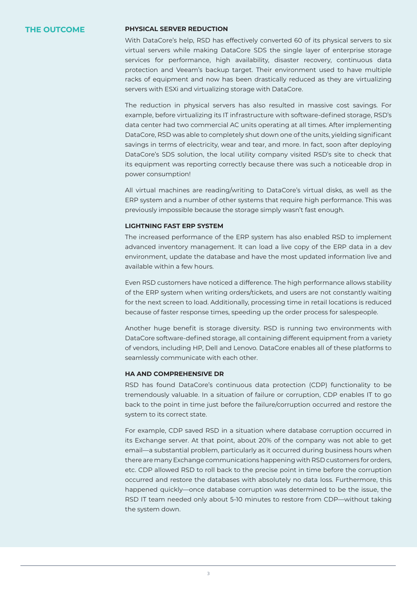# **THE OUTCOME**

#### **PHYSICAL SERVER REDUCTION**

With DataCore's help, RSD has effectively converted 60 of its physical servers to six virtual servers while making DataCore SDS the single layer of enterprise storage services for performance, high availability, disaster recovery, continuous data protection and Veeam's backup target. Their environment used to have multiple racks of equipment and now has been drastically reduced as they are virtualizing servers with ESXi and virtualizing storage with DataCore.

The reduction in physical servers has also resulted in massive cost savings. For example, before virtualizing its IT infrastructure with software-defined storage, RSD's data center had two commercial AC units operating at all times. After implementing DataCore, RSD was able to completely shut down one of the units, yielding significant savings in terms of electricity, wear and tear, and more. In fact, soon after deploying DataCore's SDS solution, the local utility company visited RSD's site to check that its equipment was reporting correctly because there was such a noticeable drop in power consumption!

All virtual machines are reading/writing to DataCore's virtual disks, as well as the ERP system and a number of other systems that require high performance. This was previously impossible because the storage simply wasn't fast enough.

#### **LIGHTNING FAST ERP SYSTEM**

The increased performance of the ERP system has also enabled RSD to implement advanced inventory management. It can load a live copy of the ERP data in a dev environment, update the database and have the most updated information live and available within a few hours.

Even RSD customers have noticed a difference. The high performance allows stability of the ERP system when writing orders/tickets, and users are not constantly waiting for the next screen to load. Additionally, processing time in retail locations is reduced because of faster response times, speeding up the order process for salespeople.

Another huge benefit is storage diversity. RSD is running two environments with DataCore software-defined storage, all containing different equipment from a variety of vendors, including HP, Dell and Lenovo. DataCore enables all of these platforms to seamlessly communicate with each other.

#### **HA AND COMPREHENSIVE DR**

RSD has found DataCore's continuous data protection (CDP) functionality to be tremendously valuable. In a situation of failure or corruption, CDP enables IT to go back to the point in time just before the failure/corruption occurred and restore the system to its correct state.

For example, CDP saved RSD in a situation where database corruption occurred in its Exchange server. At that point, about 20% of the company was not able to get email—a substantial problem, particularly as it occurred during business hours when there are many Exchange communications happening with RSD customers for orders, etc. CDP allowed RSD to roll back to the precise point in time before the corruption occurred and restore the databases with absolutely no data loss. Furthermore, this happened quickly—once database corruption was determined to be the issue, the RSD IT team needed only about 5-10 minutes to restore from CDP—without taking the system down.